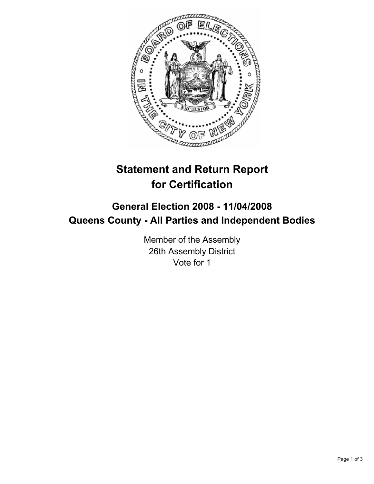

## **Statement and Return Report for Certification**

## **General Election 2008 - 11/04/2008 Queens County - All Parties and Independent Bodies**

Member of the Assembly 26th Assembly District Vote for 1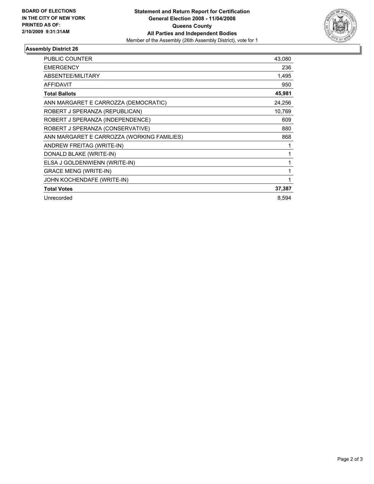

## **Assembly District 26**

| PUBLIC COUNTER                             | 43,080 |
|--------------------------------------------|--------|
| <b>EMERGENCY</b>                           | 236    |
| <b>ABSENTEE/MILITARY</b>                   | 1,495  |
| <b>AFFIDAVIT</b>                           | 950    |
| <b>Total Ballots</b>                       | 45,981 |
| ANN MARGARET E CARROZZA (DEMOCRATIC)       | 24,256 |
| ROBERT J SPERANZA (REPUBLICAN)             | 10,769 |
| ROBERT J SPERANZA (INDEPENDENCE)           | 609    |
| ROBERT J SPERANZA (CONSERVATIVE)           | 880    |
| ANN MARGARET E CARROZZA (WORKING FAMILIES) | 868    |
| ANDREW FREITAG (WRITE-IN)                  |        |
| DONALD BLAKE (WRITE-IN)                    |        |
| ELSA J GOLDENWIENN (WRITE-IN)              |        |
| <b>GRACE MENG (WRITE-IN)</b>               |        |
| JOHN KOCHENDAFE (WRITE-IN)                 |        |
| <b>Total Votes</b>                         | 37,387 |
| Unrecorded                                 | 8,594  |